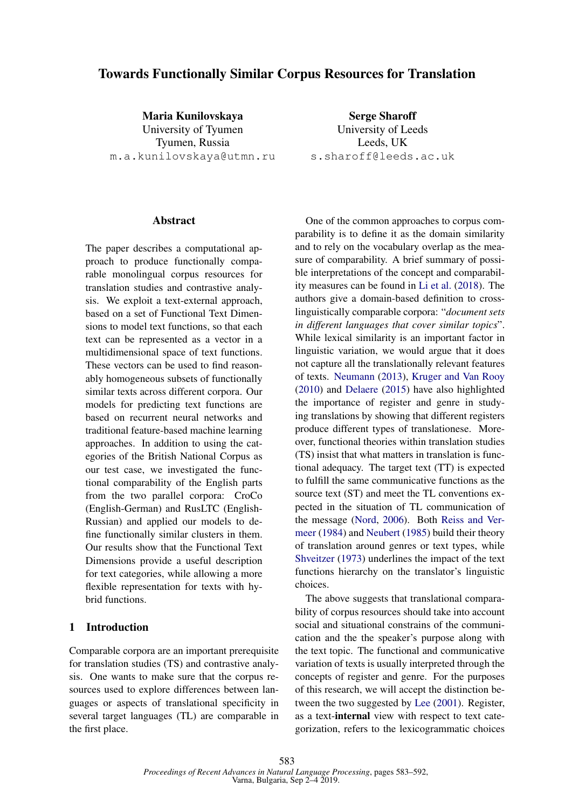## Towards Functionally Similar Corpus Resources for Translation

Maria Kunilovskaya University of Tyumen Tyumen, Russia m.a.kunilovskaya@utmn.ru

#### Abstract

The paper describes a computational approach to produce functionally comparable monolingual corpus resources for translation studies and contrastive analysis. We exploit a text-external approach, based on a set of Functional Text Dimensions to model text functions, so that each text can be represented as a vector in a multidimensional space of text functions. These vectors can be used to find reasonably homogeneous subsets of functionally similar texts across different corpora. Our models for predicting text functions are based on recurrent neural networks and traditional feature-based machine learning approaches. In addition to using the categories of the British National Corpus as our test case, we investigated the functional comparability of the English parts from the two parallel corpora: CroCo (English-German) and RusLTC (English-Russian) and applied our models to define functionally similar clusters in them. Our results show that the Functional Text Dimensions provide a useful description for text categories, while allowing a more flexible representation for texts with hybrid functions.

## 1 Introduction

Comparable corpora are an important prerequisite for translation studies (TS) and contrastive analysis. One wants to make sure that the corpus resources used to explore differences between languages or aspects of translational specificity in several target languages (TL) are comparable in the first place.

Serge Sharoff University of Leeds Leeds, UK s.sharoff@leeds.ac.uk

One of the common approaches to corpus comparability is to define it as the domain similarity and to rely on the vocabulary overlap as the measure of comparability. A brief summary of possible interpretations of the concept and comparability measures can be found in Li et al. (2018). The authors give a domain-based definition to crosslinguistically comparable corpora: "*document sets in different languages that cover similar topics*". While lexical similarity is an important factor in linguistic variation, we would argue that it does not capture all the translationally relevant features of texts. Neumann (2013), Kruger and Van Rooy (2010) and Delaere (2015) have also highlighted the importance of register and genre in studying translations by showing that different registers produce different types of translationese. Moreover, functional theories within translation studies (TS) insist that what matters in translation is functional adequacy. The target text (TT) is expected to fulfill the same communicative functions as the source text (ST) and meet the TL conventions expected in the situation of TL communication of the message (Nord, 2006). Both Reiss and Vermeer (1984) and Neubert (1985) build their theory of translation around genres or text types, while Shveitzer (1973) underlines the impact of the text functions hierarchy on the translator's linguistic choices.

The above suggests that translational comparability of corpus resources should take into account social and situational constrains of the communication and the the speaker's purpose along with the text topic. The functional and communicative variation of texts is usually interpreted through the concepts of register and genre. For the purposes of this research, we will accept the distinction between the two suggested by Lee (2001). Register, as a text-internal view with respect to text categorization, refers to the lexicogrammatic choices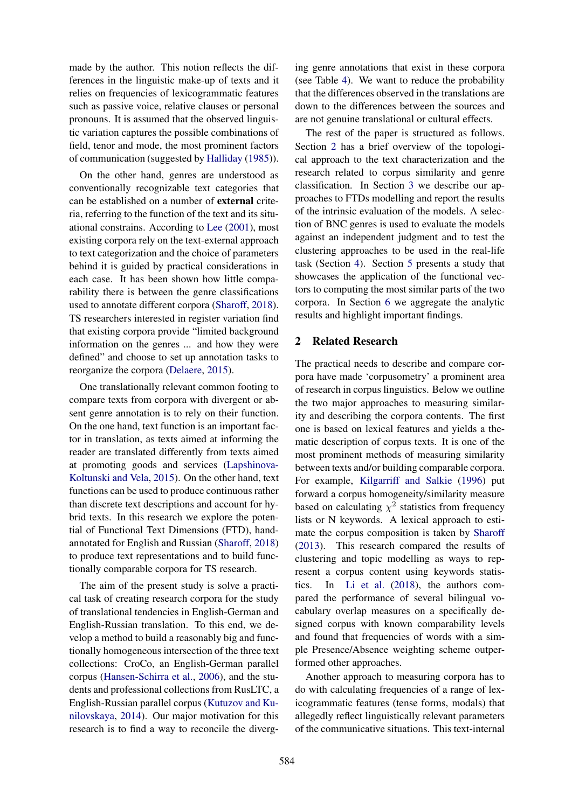made by the author. This notion reflects the differences in the linguistic make-up of texts and it relies on frequencies of lexicogrammatic features such as passive voice, relative clauses or personal pronouns. It is assumed that the observed linguistic variation captures the possible combinations of field, tenor and mode, the most prominent factors of communication (suggested by Halliday (1985)).

On the other hand, genres are understood as conventionally recognizable text categories that can be established on a number of external criteria, referring to the function of the text and its situational constrains. According to Lee (2001), most existing corpora rely on the text-external approach to text categorization and the choice of parameters behind it is guided by practical considerations in each case. It has been shown how little comparability there is between the genre classifications used to annotate different corpora (Sharoff, 2018). TS researchers interested in register variation find that existing corpora provide "limited background information on the genres ... and how they were defined" and choose to set up annotation tasks to reorganize the corpora (Delaere, 2015).

One translationally relevant common footing to compare texts from corpora with divergent or absent genre annotation is to rely on their function. On the one hand, text function is an important factor in translation, as texts aimed at informing the reader are translated differently from texts aimed at promoting goods and services (Lapshinova-Koltunski and Vela, 2015). On the other hand, text functions can be used to produce continuous rather than discrete text descriptions and account for hybrid texts. In this research we explore the potential of Functional Text Dimensions (FTD), handannotated for English and Russian (Sharoff, 2018) to produce text representations and to build functionally comparable corpora for TS research.

The aim of the present study is solve a practical task of creating research corpora for the study of translational tendencies in English-German and English-Russian translation. To this end, we develop a method to build a reasonably big and functionally homogeneous intersection of the three text collections: CroCo, an English-German parallel corpus (Hansen-Schirra et al., 2006), and the students and professional collections from RusLTC, a English-Russian parallel corpus (Kutuzov and Kunilovskaya, 2014). Our major motivation for this research is to find a way to reconcile the diverg-

ing genre annotations that exist in these corpora (see Table 4). We want to reduce the probability that the differences observed in the translations are down to the differences between the sources and are not genuine translational or cultural effects.

The rest of the paper is structured as follows. Section 2 has a brief overview of the topological approach to the text characterization and the research related to corpus similarity and genre classification. In Section 3 we describe our approaches to FTDs modelling and report the results of the intrinsic evaluation of the models. A selection of BNC genres is used to evaluate the models against an independent judgment and to test the clustering approaches to be used in the real-life task (Section 4). Section 5 presents a study that showcases the application of the functional vectors to computing the most similar parts of the two corpora. In Section 6 we aggregate the analytic results and highlight important findings.

## 2 Related Research

The practical needs to describe and compare corpora have made 'corpusometry' a prominent area of research in corpus linguistics. Below we outline the two major approaches to measuring similarity and describing the corpora contents. The first one is based on lexical features and yields a thematic description of corpus texts. It is one of the most prominent methods of measuring similarity between texts and/or building comparable corpora. For example, Kilgarriff and Salkie (1996) put forward a corpus homogeneity/similarity measure based on calculating  $\chi^2$  statistics from frequency lists or N keywords. A lexical approach to estimate the corpus composition is taken by Sharoff (2013). This research compared the results of clustering and topic modelling as ways to represent a corpus content using keywords statistics. In Li et al. (2018), the authors compared the performance of several bilingual vocabulary overlap measures on a specifically designed corpus with known comparability levels and found that frequencies of words with a simple Presence/Absence weighting scheme outperformed other approaches.

Another approach to measuring corpora has to do with calculating frequencies of a range of lexicogrammatic features (tense forms, modals) that allegedly reflect linguistically relevant parameters of the communicative situations. This text-internal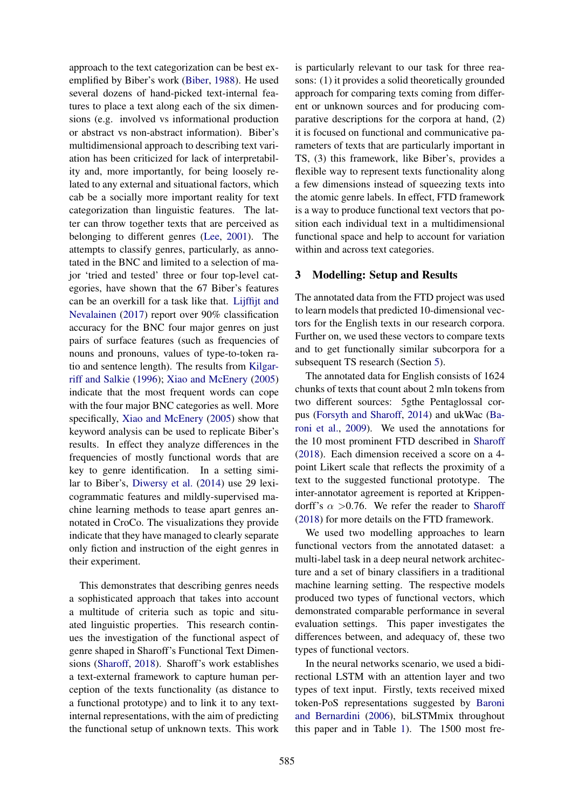approach to the text categorization can be best exemplified by Biber's work (Biber, 1988). He used several dozens of hand-picked text-internal features to place a text along each of the six dimensions (e.g. involved vs informational production or abstract vs non-abstract information). Biber's multidimensional approach to describing text variation has been criticized for lack of interpretability and, more importantly, for being loosely related to any external and situational factors, which cab be a socially more important reality for text categorization than linguistic features. The latter can throw together texts that are perceived as belonging to different genres (Lee, 2001). The attempts to classify genres, particularly, as annotated in the BNC and limited to a selection of major 'tried and tested' three or four top-level categories, have shown that the 67 Biber's features can be an overkill for a task like that. Lijffijt and Nevalainen (2017) report over 90% classification accuracy for the BNC four major genres on just pairs of surface features (such as frequencies of nouns and pronouns, values of type-to-token ratio and sentence length). The results from Kilgarriff and Salkie (1996); Xiao and McEnery (2005) indicate that the most frequent words can cope with the four major BNC categories as well. More specifically, Xiao and McEnery (2005) show that keyword analysis can be used to replicate Biber's results. In effect they analyze differences in the frequencies of mostly functional words that are key to genre identification. In a setting similar to Biber's, Diwersy et al. (2014) use 29 lexicogrammatic features and mildly-supervised machine learning methods to tease apart genres annotated in CroCo. The visualizations they provide indicate that they have managed to clearly separate only fiction and instruction of the eight genres in their experiment.

This demonstrates that describing genres needs a sophisticated approach that takes into account a multitude of criteria such as topic and situated linguistic properties. This research continues the investigation of the functional aspect of genre shaped in Sharoff's Functional Text Dimensions (Sharoff, 2018). Sharoff's work establishes a text-external framework to capture human perception of the texts functionality (as distance to a functional prototype) and to link it to any textinternal representations, with the aim of predicting the functional setup of unknown texts. This work

is particularly relevant to our task for three reasons: (1) it provides a solid theoretically grounded approach for comparing texts coming from different or unknown sources and for producing comparative descriptions for the corpora at hand, (2) it is focused on functional and communicative parameters of texts that are particularly important in TS, (3) this framework, like Biber's, provides a flexible way to represent texts functionality along a few dimensions instead of squeezing texts into the atomic genre labels. In effect, FTD framework is a way to produce functional text vectors that position each individual text in a multidimensional functional space and help to account for variation within and across text categories.

#### 3 Modelling: Setup and Results

The annotated data from the FTD project was used to learn models that predicted 10-dimensional vectors for the English texts in our research corpora. Further on, we used these vectors to compare texts and to get functionally similar subcorpora for a subsequent TS research (Section 5).

The annotated data for English consists of 1624 chunks of texts that count about 2 mln tokens from two different sources: 5gthe Pentaglossal corpus (Forsyth and Sharoff, 2014) and ukWac (Baroni et al., 2009). We used the annotations for the 10 most prominent FTD described in Sharoff (2018). Each dimension received a score on a 4 point Likert scale that reflects the proximity of a text to the suggested functional prototype. The inter-annotator agreement is reported at Krippendorff's  $\alpha > 0.76$ . We refer the reader to Sharoff (2018) for more details on the FTD framework.

We used two modelling approaches to learn functional vectors from the annotated dataset: a multi-label task in a deep neural network architecture and a set of binary classifiers in a traditional machine learning setting. The respective models produced two types of functional vectors, which demonstrated comparable performance in several evaluation settings. This paper investigates the differences between, and adequacy of, these two types of functional vectors.

In the neural networks scenario, we used a bidirectional LSTM with an attention layer and two types of text input. Firstly, texts received mixed token-PoS representations suggested by Baroni and Bernardini (2006), biLSTMmix throughout this paper and in Table 1). The 1500 most fre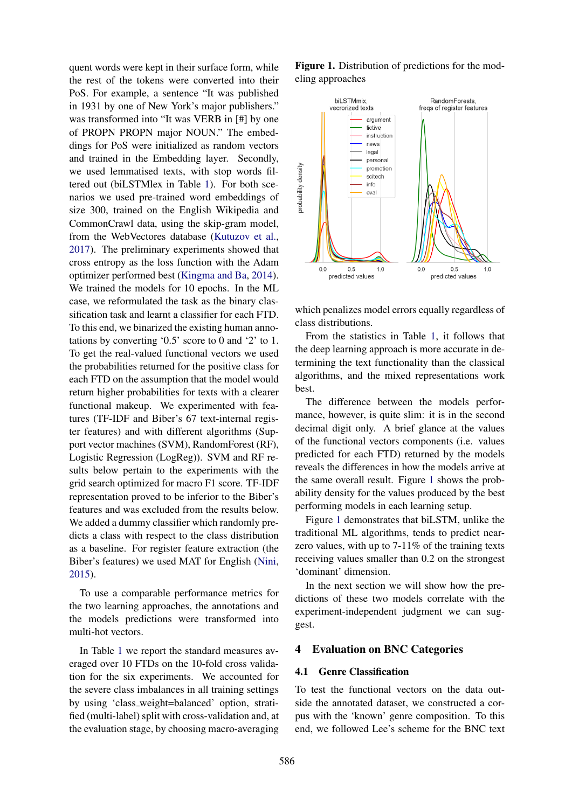quent words were kept in their surface form, while the rest of the tokens were converted into their PoS. For example, a sentence "It was published in 1931 by one of New York's major publishers." was transformed into "It was VERB in [#] by one of PROPN PROPN major NOUN." The embeddings for PoS were initialized as random vectors and trained in the Embedding layer. Secondly, we used lemmatised texts, with stop words filtered out (biLSTMlex in Table 1). For both scenarios we used pre-trained word embeddings of size 300, trained on the English Wikipedia and CommonCrawl data, using the skip-gram model, from the WebVectores database (Kutuzov et al., 2017). The preliminary experiments showed that cross entropy as the loss function with the Adam optimizer performed best (Kingma and Ba, 2014). We trained the models for 10 epochs. In the ML case, we reformulated the task as the binary classification task and learnt a classifier for each FTD. To this end, we binarized the existing human annotations by converting '0.5' score to 0 and '2' to 1. To get the real-valued functional vectors we used the probabilities returned for the positive class for each FTD on the assumption that the model would return higher probabilities for texts with a clearer functional makeup. We experimented with features (TF-IDF and Biber's 67 text-internal register features) and with different algorithms (Support vector machines (SVM), RandomForest (RF), Logistic Regression (LogReg)). SVM and RF results below pertain to the experiments with the grid search optimized for macro F1 score. TF-IDF representation proved to be inferior to the Biber's features and was excluded from the results below. We added a dummy classifier which randomly predicts a class with respect to the class distribution as a baseline. For register feature extraction (the Biber's features) we used MAT for English (Nini, 2015).

To use a comparable performance metrics for the two learning approaches, the annotations and the models predictions were transformed into multi-hot vectors.

In Table 1 we report the standard measures averaged over 10 FTDs on the 10-fold cross validation for the six experiments. We accounted for the severe class imbalances in all training settings by using 'class weight=balanced' option, stratified (multi-label) split with cross-validation and, at the evaluation stage, by choosing macro-averaging Figure 1. Distribution of predictions for the modeling approaches



which penalizes model errors equally regardless of class distributions.

From the statistics in Table 1, it follows that the deep learning approach is more accurate in determining the text functionality than the classical algorithms, and the mixed representations work best.

The difference between the models performance, however, is quite slim: it is in the second decimal digit only. A brief glance at the values of the functional vectors components (i.e. values predicted for each FTD) returned by the models reveals the differences in how the models arrive at the same overall result. Figure 1 shows the probability density for the values produced by the best performing models in each learning setup.

Figure 1 demonstrates that biLSTM, unlike the traditional ML algorithms, tends to predict nearzero values, with up to  $7-11\%$  of the training texts receiving values smaller than 0.2 on the strongest 'dominant' dimension.

In the next section we will show how the predictions of these two models correlate with the experiment-independent judgment we can suggest.

#### 4 Evaluation on BNC Categories

#### 4.1 Genre Classification

To test the functional vectors on the data outside the annotated dataset, we constructed a corpus with the 'known' genre composition. To this end, we followed Lee's scheme for the BNC text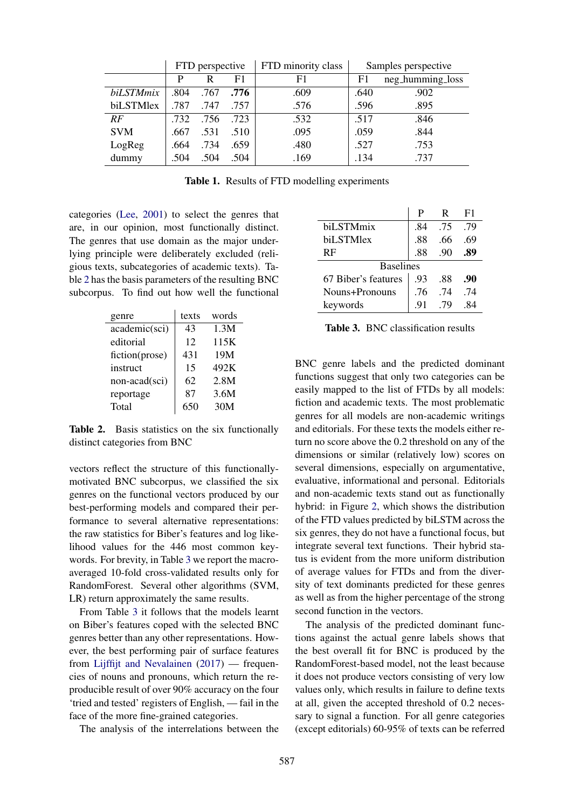|            | FTD perspective |      |      | FTD minority class | Samples perspective |                  |  |
|------------|-----------------|------|------|--------------------|---------------------|------------------|--|
|            | P               | R    | F1   | F1                 | F1                  | neg_humming_loss |  |
| biLSTMmix  | .804            | .767 | .776 | .609               | .640                | .902             |  |
| biLSTMlex  | .787            | .747 | .757 | .576               | .596                | .895             |  |
| RF         | .732            | .756 | .723 | .532               | .517                | .846             |  |
| <b>SVM</b> | .667            | .531 | .510 | .095               | .059                | .844             |  |
| LogReg     | .664            | .734 | .659 | .480               | .527                | .753             |  |
| dummy      | .504            | .504 | .504 | .169               | .134                | .737             |  |

Table 1. Results of FTD modelling experiments

categories (Lee, 2001) to select the genres that are, in our opinion, most functionally distinct. The genres that use domain as the major underlying principle were deliberately excluded (religious texts, subcategories of academic texts). Table 2 has the basis parameters of the resulting BNC subcorpus. To find out how well the functional

| genre          | texts | words |
|----------------|-------|-------|
| academic(sci)  | 43    | 1.3M  |
| editorial      | 12    | 115K  |
| fiction(prose) | 431   | 19M   |
| instruct       | 15    | 492K  |
| non-acad(sci)  | 62    | 2.8M  |
| reportage      | 87    | 3.6M  |
| Total          |       | 30M   |

Table 2. Basis statistics on the six functionally distinct categories from BNC

vectors reflect the structure of this functionallymotivated BNC subcorpus, we classified the six genres on the functional vectors produced by our best-performing models and compared their performance to several alternative representations: the raw statistics for Biber's features and log likelihood values for the 446 most common keywords. For brevity, in Table 3 we report the macroaveraged 10-fold cross-validated results only for RandomForest. Several other algorithms (SVM, LR) return approximately the same results.

From Table 3 it follows that the models learnt on Biber's features coped with the selected BNC genres better than any other representations. However, the best performing pair of surface features from Lijffijt and Nevalainen (2017) — frequencies of nouns and pronouns, which return the reproducible result of over 90% accuracy on the four 'tried and tested' registers of English, — fail in the face of the more fine-grained categories.

The analysis of the interrelations between the

|                     | Р   | R   | F1  |  |  |  |  |
|---------------------|-----|-----|-----|--|--|--|--|
| biLSTMmix           | -84 | .75 | .79 |  |  |  |  |
| biLSTMlex           | .88 | .66 | .69 |  |  |  |  |
| RF                  | .88 | .90 |     |  |  |  |  |
| <b>Baselines</b>    |     |     |     |  |  |  |  |
| 67 Biber's features | .93 | .88 | .90 |  |  |  |  |
| Nouns+Pronouns      | .76 | -74 | -74 |  |  |  |  |
| keywords            | -91 | 79  | 84  |  |  |  |  |

Table 3. BNC classification results

BNC genre labels and the predicted dominant functions suggest that only two categories can be easily mapped to the list of FTDs by all models: fiction and academic texts. The most problematic genres for all models are non-academic writings and editorials. For these texts the models either return no score above the 0.2 threshold on any of the dimensions or similar (relatively low) scores on several dimensions, especially on argumentative, evaluative, informational and personal. Editorials and non-academic texts stand out as functionally hybrid: in Figure 2, which shows the distribution of the FTD values predicted by biLSTM across the six genres, they do not have a functional focus, but integrate several text functions. Their hybrid status is evident from the more uniform distribution of average values for FTDs and from the diversity of text dominants predicted for these genres as well as from the higher percentage of the strong second function in the vectors.

The analysis of the predicted dominant functions against the actual genre labels shows that the best overall fit for BNC is produced by the RandomForest-based model, not the least because it does not produce vectors consisting of very low values only, which results in failure to define texts at all, given the accepted threshold of 0.2 necessary to signal a function. For all genre categories (except editorials) 60-95% of texts can be referred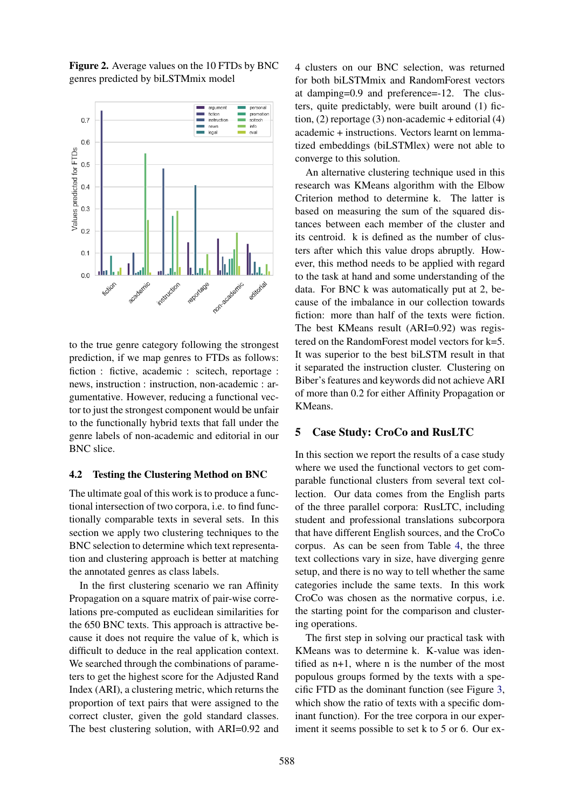

Figure 2. Average values on the 10 FTDs by BNC genres predicted by biLSTMmix model

to the true genre category following the strongest prediction, if we map genres to FTDs as follows: fiction : fictive, academic : scitech, reportage : news, instruction : instruction, non-academic : argumentative. However, reducing a functional vector to just the strongest component would be unfair to the functionally hybrid texts that fall under the genre labels of non-academic and editorial in our BNC slice.

#### 4.2 Testing the Clustering Method on BNC

The ultimate goal of this work is to produce a functional intersection of two corpora, i.e. to find functionally comparable texts in several sets. In this section we apply two clustering techniques to the BNC selection to determine which text representation and clustering approach is better at matching the annotated genres as class labels.

In the first clustering scenario we ran Affinity Propagation on a square matrix of pair-wise correlations pre-computed as euclidean similarities for the 650 BNC texts. This approach is attractive because it does not require the value of k, which is difficult to deduce in the real application context. We searched through the combinations of parameters to get the highest score for the Adjusted Rand Index (ARI), a clustering metric, which returns the proportion of text pairs that were assigned to the correct cluster, given the gold standard classes. The best clustering solution, with ARI=0.92 and

4 clusters on our BNC selection, was returned for both biLSTMmix and RandomForest vectors at damping=0.9 and preference=-12. The clusters, quite predictably, were built around (1) fiction, (2) reportage (3) non-academic + editorial (4) academic + instructions. Vectors learnt on lemmatized embeddings (biLSTMlex) were not able to converge to this solution.

An alternative clustering technique used in this research was KMeans algorithm with the Elbow Criterion method to determine k. The latter is based on measuring the sum of the squared distances between each member of the cluster and its centroid. k is defined as the number of clusters after which this value drops abruptly. However, this method needs to be applied with regard to the task at hand and some understanding of the data. For BNC k was automatically put at 2, because of the imbalance in our collection towards fiction: more than half of the texts were fiction. The best KMeans result (ARI=0.92) was registered on the RandomForest model vectors for k=5. It was superior to the best biLSTM result in that it separated the instruction cluster. Clustering on Biber's features and keywords did not achieve ARI of more than 0.2 for either Affinity Propagation or KMeans.

#### 5 Case Study: CroCo and RusLTC

In this section we report the results of a case study where we used the functional vectors to get comparable functional clusters from several text collection. Our data comes from the English parts of the three parallel corpora: RusLTC, including student and professional translations subcorpora that have different English sources, and the CroCo corpus. As can be seen from Table 4, the three text collections vary in size, have diverging genre setup, and there is no way to tell whether the same categories include the same texts. In this work CroCo was chosen as the normative corpus, i.e. the starting point for the comparison and clustering operations.

The first step in solving our practical task with KMeans was to determine k. K-value was identified as n+1, where n is the number of the most populous groups formed by the texts with a specific FTD as the dominant function (see Figure 3, which show the ratio of texts with a specific dominant function). For the tree corpora in our experiment it seems possible to set k to 5 or 6. Our ex-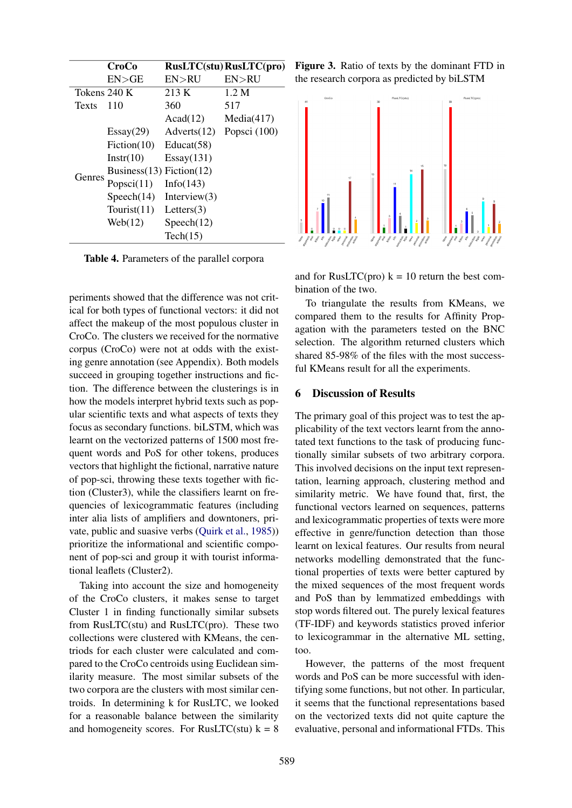|              | <b>CroCo</b>                                                                                               |                 | <b>RusLTC(stu) RusLTC(pro)</b> |  |  |
|--------------|------------------------------------------------------------------------------------------------------------|-----------------|--------------------------------|--|--|
|              | EN > GE                                                                                                    | EN>RU           | EN > RU                        |  |  |
|              |                                                                                                            | 213 K           | 1.2 M                          |  |  |
| <b>Texts</b> | 110                                                                                                        | 360             | 517                            |  |  |
|              |                                                                                                            | Acad(12)        | Media(417)                     |  |  |
|              | Essay(29)                                                                                                  | Adverts (12)    | Popsci $(100)$                 |  |  |
|              | Fiction $(10)$                                                                                             | Educat(58)      |                                |  |  |
|              | Instr(10)                                                                                                  | Essay(131)      |                                |  |  |
|              |                                                                                                            |                 |                                |  |  |
| Genres       | Tokens 240 K<br>Business $(13)$ Fiction $(12)$<br>Popsci $(11)$<br>Speech(14)<br>Tourist $(11)$<br>Web(12) | Info(143)       |                                |  |  |
|              |                                                                                                            | Interview $(3)$ |                                |  |  |
|              |                                                                                                            | Letters $(3)$   |                                |  |  |
|              |                                                                                                            | Speech(12)      |                                |  |  |
|              |                                                                                                            | Tech(15)        |                                |  |  |

Table 4. Parameters of the parallel corpora

periments showed that the difference was not critical for both types of functional vectors: it did not affect the makeup of the most populous cluster in CroCo. The clusters we received for the normative corpus (CroCo) were not at odds with the existing genre annotation (see Appendix). Both models succeed in grouping together instructions and fiction. The difference between the clusterings is in how the models interpret hybrid texts such as popular scientific texts and what aspects of texts they focus as secondary functions. biLSTM, which was learnt on the vectorized patterns of 1500 most frequent words and PoS for other tokens, produces vectors that highlight the fictional, narrative nature of pop-sci, throwing these texts together with fiction (Cluster3), while the classifiers learnt on frequencies of lexicogrammatic features (including inter alia lists of amplifiers and downtoners, private, public and suasive verbs (Quirk et al., 1985)) prioritize the informational and scientific component of pop-sci and group it with tourist informational leaflets (Cluster2).

Taking into account the size and homogeneity of the CroCo clusters, it makes sense to target Cluster 1 in finding functionally similar subsets from RusLTC(stu) and RusLTC(pro). These two collections were clustered with KMeans, the centriods for each cluster were calculated and compared to the CroCo centroids using Euclidean similarity measure. The most similar subsets of the two corpora are the clusters with most similar centroids. In determining k for RusLTC, we looked for a reasonable balance between the similarity and homogeneity scores. For RusLTC(stu)  $k = 8$  Figure 3. Ratio of texts by the dominant FTD in the research corpora as predicted by biLSTM



and for RusLTC(pro)  $k = 10$  return the best combination of the two.

To triangulate the results from KMeans, we compared them to the results for Affinity Propagation with the parameters tested on the BNC selection. The algorithm returned clusters which shared 85-98% of the files with the most successful KMeans result for all the experiments.

#### 6 Discussion of Results

The primary goal of this project was to test the applicability of the text vectors learnt from the annotated text functions to the task of producing functionally similar subsets of two arbitrary corpora. This involved decisions on the input text representation, learning approach, clustering method and similarity metric. We have found that, first, the functional vectors learned on sequences, patterns and lexicogrammatic properties of texts were more effective in genre/function detection than those learnt on lexical features. Our results from neural networks modelling demonstrated that the functional properties of texts were better captured by the mixed sequences of the most frequent words and PoS than by lemmatized embeddings with stop words filtered out. The purely lexical features (TF-IDF) and keywords statistics proved inferior to lexicogrammar in the alternative ML setting, too.

However, the patterns of the most frequent words and PoS can be more successful with identifying some functions, but not other. In particular, it seems that the functional representations based on the vectorized texts did not quite capture the evaluative, personal and informational FTDs. This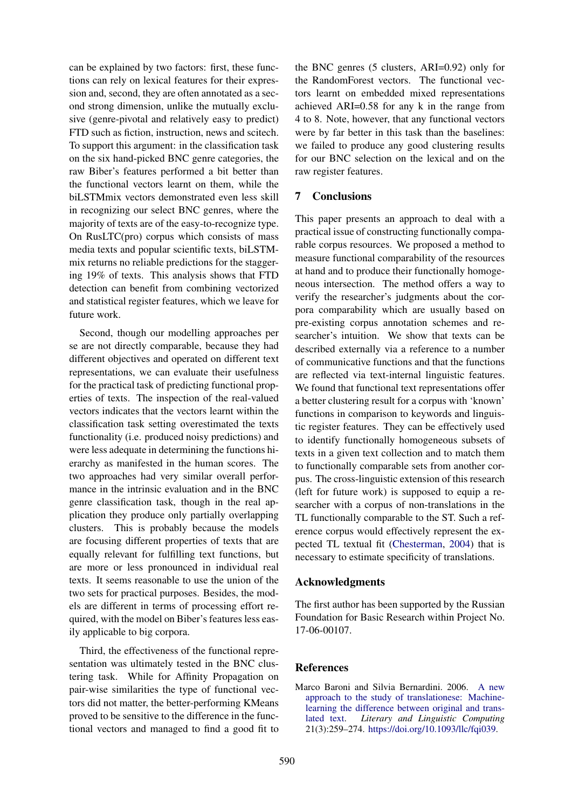can be explained by two factors: first, these functions can rely on lexical features for their expression and, second, they are often annotated as a second strong dimension, unlike the mutually exclusive (genre-pivotal and relatively easy to predict) FTD such as fiction, instruction, news and scitech. To support this argument: in the classification task on the six hand-picked BNC genre categories, the raw Biber's features performed a bit better than the functional vectors learnt on them, while the biLSTMmix vectors demonstrated even less skill in recognizing our select BNC genres, where the majority of texts are of the easy-to-recognize type. On RusLTC(pro) corpus which consists of mass media texts and popular scientific texts, biLSTMmix returns no reliable predictions for the staggering 19% of texts. This analysis shows that FTD detection can benefit from combining vectorized and statistical register features, which we leave for future work.

Second, though our modelling approaches per se are not directly comparable, because they had different objectives and operated on different text representations, we can evaluate their usefulness for the practical task of predicting functional properties of texts. The inspection of the real-valued vectors indicates that the vectors learnt within the classification task setting overestimated the texts functionality (i.e. produced noisy predictions) and were less adequate in determining the functions hierarchy as manifested in the human scores. The two approaches had very similar overall performance in the intrinsic evaluation and in the BNC genre classification task, though in the real application they produce only partially overlapping clusters. This is probably because the models are focusing different properties of texts that are equally relevant for fulfilling text functions, but are more or less pronounced in individual real texts. It seems reasonable to use the union of the two sets for practical purposes. Besides, the models are different in terms of processing effort required, with the model on Biber's features less easily applicable to big corpora.

Third, the effectiveness of the functional representation was ultimately tested in the BNC clustering task. While for Affinity Propagation on pair-wise similarities the type of functional vectors did not matter, the better-performing KMeans proved to be sensitive to the difference in the functional vectors and managed to find a good fit to

the BNC genres (5 clusters, ARI=0.92) only for the RandomForest vectors. The functional vectors learnt on embedded mixed representations achieved ARI=0.58 for any k in the range from 4 to 8. Note, however, that any functional vectors were by far better in this task than the baselines: we failed to produce any good clustering results for our BNC selection on the lexical and on the raw register features.

## 7 Conclusions

This paper presents an approach to deal with a practical issue of constructing functionally comparable corpus resources. We proposed a method to measure functional comparability of the resources at hand and to produce their functionally homogeneous intersection. The method offers a way to verify the researcher's judgments about the corpora comparability which are usually based on pre-existing corpus annotation schemes and researcher's intuition. We show that texts can be described externally via a reference to a number of communicative functions and that the functions are reflected via text-internal linguistic features. We found that functional text representations offer a better clustering result for a corpus with 'known' functions in comparison to keywords and linguistic register features. They can be effectively used to identify functionally homogeneous subsets of texts in a given text collection and to match them to functionally comparable sets from another corpus. The cross-linguistic extension of this research (left for future work) is supposed to equip a researcher with a corpus of non-translations in the TL functionally comparable to the ST. Such a reference corpus would effectively represent the expected TL textual fit (Chesterman, 2004) that is necessary to estimate specificity of translations.

## Acknowledgments

The first author has been supported by the Russian Foundation for Basic Research within Project No. 17-06-00107.

## **References**

Marco Baroni and Silvia Bernardini. 2006. A new approach to the study of translationese: Machinelearning the difference between original and translated text. *Literary and Linguistic Computing* 21(3):259–274. https://doi.org/10.1093/llc/fqi039.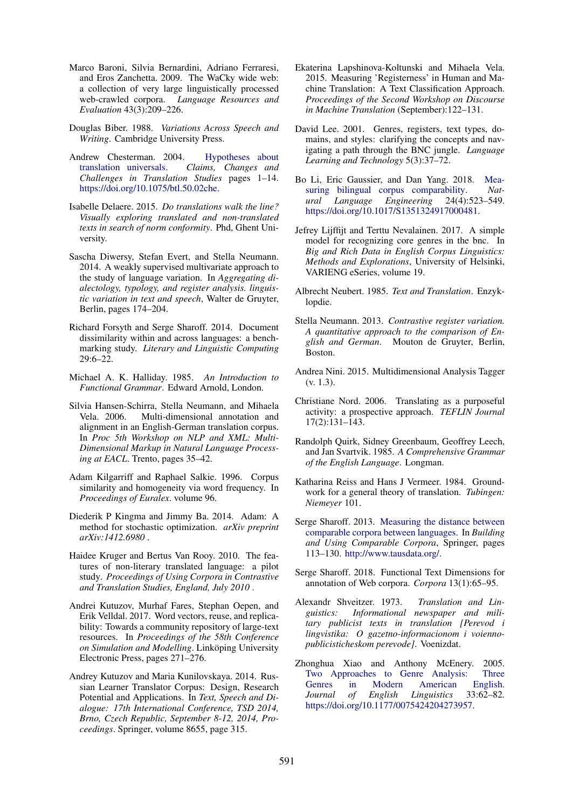- Marco Baroni, Silvia Bernardini, Adriano Ferraresi, and Eros Zanchetta. 2009. The WaCky wide web: a collection of very large linguistically processed web-crawled corpora. *Language Resources and Evaluation* 43(3):209–226.
- Douglas Biber. 1988. *Variations Across Speech and Writing*. Cambridge University Press.
- Andrew Chesterman. 2004. Hypotheses about translation universals. *Claims, Changes and Challenges in Translation Studies* pages 1–14. https://doi.org/10.1075/btl.50.02che.
- Isabelle Delaere. 2015. *Do translations walk the line? Visually exploring translated and non-translated texts in search of norm conformity*. Phd, Ghent University.
- Sascha Diwersy, Stefan Evert, and Stella Neumann. 2014. A weakly supervised multivariate approach to the study of language variation. In *Aggregating dialectology, typology, and register analysis. linguistic variation in text and speech*, Walter de Gruyter, Berlin, pages 174–204.
- Richard Forsyth and Serge Sharoff. 2014. Document dissimilarity within and across languages: a benchmarking study. *Literary and Linguistic Computing* 29:6–22.
- Michael A. K. Halliday. 1985. *An Introduction to Functional Grammar*. Edward Arnold, London.
- Silvia Hansen-Schirra, Stella Neumann, and Mihaela Vela. 2006. Multi-dimensional annotation and alignment in an English-German translation corpus. In *Proc 5th Workshop on NLP and XML: Multi-Dimensional Markup in Natural Language Processing at EACL*. Trento, pages 35–42.
- Adam Kilgarriff and Raphael Salkie. 1996. Corpus similarity and homogeneity via word frequency. In *Proceedings of Euralex*. volume 96.
- Diederik P Kingma and Jimmy Ba. 2014. Adam: A method for stochastic optimization. *arXiv preprint arXiv:1412.6980* .
- Haidee Kruger and Bertus Van Rooy. 2010. The features of non-literary translated language: a pilot study. *Proceedings of Using Corpora in Contrastive and Translation Studies, England, July 2010* .
- Andrei Kutuzov, Murhaf Fares, Stephan Oepen, and Erik Velldal. 2017. Word vectors, reuse, and replicability: Towards a community repository of large-text resources. In *Proceedings of the 58th Conference on Simulation and Modelling*. Linköping University Electronic Press, pages 271–276.
- Andrey Kutuzov and Maria Kunilovskaya. 2014. Russian Learner Translator Corpus: Design, Research Potential and Applications. In *Text, Speech and Dialogue: 17th International Conference, TSD 2014, Brno, Czech Republic, September 8-12, 2014, Proceedings*. Springer, volume 8655, page 315.
- Ekaterina Lapshinova-Koltunski and Mihaela Vela. 2015. Measuring 'Registerness' in Human and Machine Translation: A Text Classification Approach. *Proceedings of the Second Workshop on Discourse in Machine Translation* (September):122–131.
- David Lee. 2001. Genres, registers, text types, domains, and styles: clarifying the concepts and navigating a path through the BNC jungle. *Language Learning and Technology* 5(3):37–72.
- Bo Li, Eric Gaussier, and Dan Yang. 2018. Measuring bilingual corpus comparability. *Natural Language Engineering* 24(4):523–549. https://doi.org/10.1017/S1351324917000481.
- Jefrey Lijffijt and Terttu Nevalainen. 2017. A simple model for recognizing core genres in the bnc. In *Big and Rich Data in English Corpus Linguistics: Methods and Explorations*, University of Helsinki, VARIENG eSeries, volume 19.
- Albrecht Neubert. 1985. *Text and Translation*. Enzyklopdie.
- Stella Neumann. 2013. *Contrastive register variation. A quantitative approach to the comparison of English and German*. Mouton de Gruyter, Berlin, Boston.
- Andrea Nini. 2015. Multidimensional Analysis Tagger (v. 1.3).
- Christiane Nord. 2006. Translating as a purposeful activity: a prospective approach. *TEFLIN Journal* 17(2):131–143.
- Randolph Quirk, Sidney Greenbaum, Geoffrey Leech, and Jan Svartvik. 1985. *A Comprehensive Grammar of the English Language*. Longman.
- Katharina Reiss and Hans J Vermeer. 1984. Groundwork for a general theory of translation. *Tubingen: Niemeyer* 101.
- Serge Sharoff. 2013. Measuring the distance between comparable corpora between languages. In *Building and Using Comparable Corpora*, Springer, pages 113–130. http://www.tausdata.org/.
- Serge Sharoff. 2018. Functional Text Dimensions for annotation of Web corpora. *Corpora* 13(1):65–95.
- Alexandr Shveitzer. 1973. *Translation and Linguistics: Informational newspaper and military publicist texts in translation [Perevod i lingvistika: O gazetno-informacionom i voiennopublicisticheskom perevode]*. Voenizdat.
- Zhonghua Xiao and Anthony McEnery. 2005. Two Approaches to Genre Analysis: Three Genres in Modern American English. *Journal of English Linguistics* 33:62–82. https://doi.org/10.1177/0075424204273957.